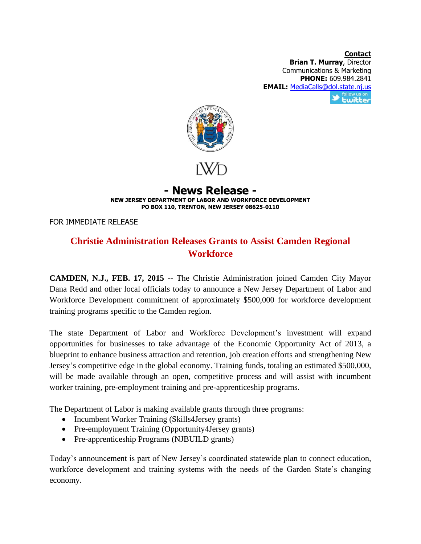**Contact Brian T. Murray**, Director Communications & Marketing **PHONE:** 609.984.2841 **EMAIL:** <u>[MediaCalls@dol.state.nj.us](mailto:MediaCalls@dol.state.nj.us)</u><br>
Station is an extent to the Eulister



## **- News Release - NEW JERSEY DEPARTMENT OF LABOR AND WORKFORCE DEVELOPMENT PO BOX 110, TRENTON, NEW JERSEY 08625-0110**

FOR IMMEDIATE RELEASE

## **Christie Administration Releases Grants to Assist Camden Regional Workforce**

**CAMDEN, N.J., FEB. 17, 2015 --** The Christie Administration joined Camden City Mayor Dana Redd and other local officials today to announce a New Jersey Department of Labor and Workforce Development commitment of approximately \$500,000 for workforce development training programs specific to the Camden region.

The state Department of Labor and Workforce Development's investment will expand opportunities for businesses to take advantage of the Economic Opportunity Act of 2013, a blueprint to enhance business attraction and retention, job creation efforts and strengthening New Jersey's competitive edge in the global economy. Training funds, totaling an estimated \$500,000, will be made available through an open, competitive process and will assist with incumbent worker training, pre-employment training and pre-apprenticeship programs.

The Department of Labor is making available grants through three programs:

- Incumbent Worker Training (Skills4Jersey grants)
- Pre-employment Training (Opportunity4Jersey grants)
- Pre-apprenticeship Programs (NJBUILD grants)

Today's announcement is part of New Jersey's coordinated statewide plan to connect education, workforce development and training systems with the needs of the Garden State's changing economy.